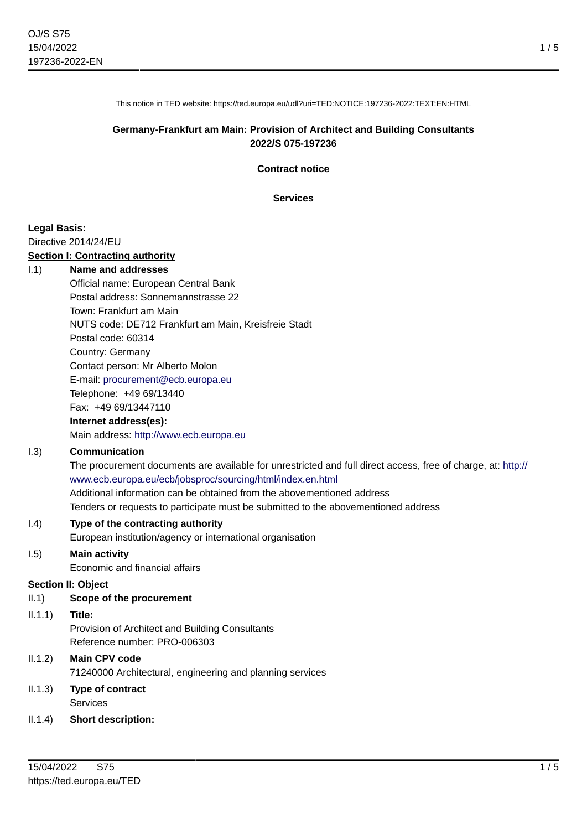1 / 5

This notice in TED website: https://ted.europa.eu/udl?uri=TED:NOTICE:197236-2022:TEXT:EN:HTML

### **Germany-Frankfurt am Main: Provision of Architect and Building Consultants 2022/S 075-197236**

**Contract notice**

**Services**

#### **Legal Basis:**

Directive 2014/24/EU

#### **Section I: Contracting authority**

#### I.1) **Name and addresses**

Official name: European Central Bank Postal address: Sonnemannstrasse 22 Town: Frankfurt am Main NUTS code: DE712 Frankfurt am Main, Kreisfreie Stadt Postal code: 60314 Country: Germany Contact person: Mr Alberto Molon E-mail: [procurement@ecb.europa.eu](mailto:procurement@ecb.europa.eu) Telephone: +49 69/13440 Fax: +49 69/13447110

### **Internet address(es):**

Main address:<http://www.ecb.europa.eu>

### I.3) **Communication**

The procurement documents are available for unrestricted and full direct access, free of charge, at: [http://](http://www.ecb.europa.eu/ecb/jobsproc/sourcing/html/index.en.html) [www.ecb.europa.eu/ecb/jobsproc/sourcing/html/index.en.html](http://www.ecb.europa.eu/ecb/jobsproc/sourcing/html/index.en.html) Additional information can be obtained from the abovementioned address Tenders or requests to participate must be submitted to the abovementioned address

#### I.4) **Type of the contracting authority**

European institution/agency or international organisation

### I.5) **Main activity**

Economic and financial affairs

#### **Section II: Object**

#### II.1) **Scope of the procurement**

#### II.1.1) **Title:**

Provision of Architect and Building Consultants Reference number: PRO-006303

## II.1.2) **Main CPV code** 71240000 Architectural, engineering and planning services

### II.1.3) **Type of contract** Services

II.1.4) **Short description:**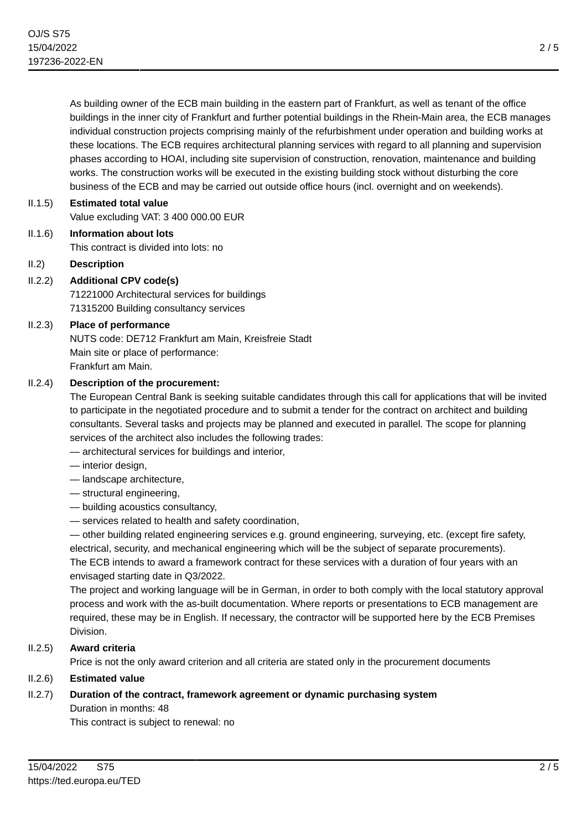As building owner of the ECB main building in the eastern part of Frankfurt, as well as tenant of the office buildings in the inner city of Frankfurt and further potential buildings in the Rhein-Main area, the ECB manages individual construction projects comprising mainly of the refurbishment under operation and building works at these locations. The ECB requires architectural planning services with regard to all planning and supervision phases according to HOAI, including site supervision of construction, renovation, maintenance and building works. The construction works will be executed in the existing building stock without disturbing the core business of the ECB and may be carried out outside office hours (incl. overnight and on weekends).

II.1.5) **Estimated total value** Value excluding VAT: 3 400 000.00 EUR

II.1.6) **Information about lots**

This contract is divided into lots: no

# II.2) **Description**

# II.2.2) **Additional CPV code(s)**

71221000 Architectural services for buildings 71315200 Building consultancy services

# II.2.3) **Place of performance**

NUTS code: DE712 Frankfurt am Main, Kreisfreie Stadt Main site or place of performance: Frankfurt am Main.

## II.2.4) **Description of the procurement:**

The European Central Bank is seeking suitable candidates through this call for applications that will be invited to participate in the negotiated procedure and to submit a tender for the contract on architect and building consultants. Several tasks and projects may be planned and executed in parallel. The scope for planning services of the architect also includes the following trades:

- architectural services for buildings and interior,
- interior design,
- landscape architecture,
- structural engineering,
- building acoustics consultancy,
- services related to health and safety coordination,

— other building related engineering services e.g. ground engineering, surveying, etc. (except fire safety, electrical, security, and mechanical engineering which will be the subject of separate procurements). The ECB intends to award a framework contract for these services with a duration of four years with an envisaged starting date in Q3/2022.

The project and working language will be in German, in order to both comply with the local statutory approval process and work with the as-built documentation. Where reports or presentations to ECB management are required, these may be in English. If necessary, the contractor will be supported here by the ECB Premises Division.

# II.2.5) **Award criteria**

Price is not the only award criterion and all criteria are stated only in the procurement documents

# II.2.6) **Estimated value**

# II.2.7) **Duration of the contract, framework agreement or dynamic purchasing system**

Duration in months: 48

This contract is subject to renewal: no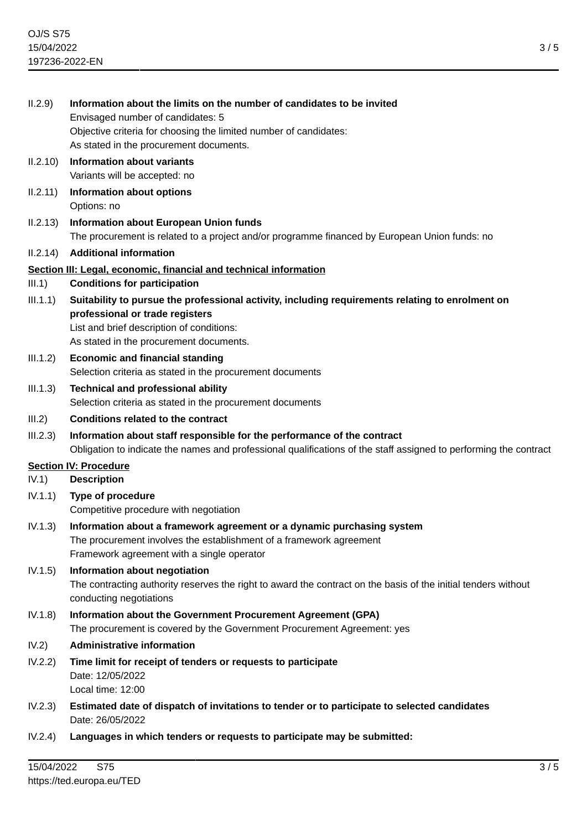| II.2.9)                      | Information about the limits on the number of candidates to be invited<br>Envisaged number of candidates: 5<br>Objective criteria for choosing the limited number of candidates:<br>As stated in the procurement documents. |
|------------------------------|-----------------------------------------------------------------------------------------------------------------------------------------------------------------------------------------------------------------------------|
| II.2.10)                     | <b>Information about variants</b><br>Variants will be accepted: no                                                                                                                                                          |
| II.2.11)                     | Information about options<br>Options: no                                                                                                                                                                                    |
| II.2.13)                     | <b>Information about European Union funds</b><br>The procurement is related to a project and/or programme financed by European Union funds: no                                                                              |
| II.2.14)                     | <b>Additional information</b>                                                                                                                                                                                               |
| III.1)                       | Section III: Legal, economic, financial and technical information<br><b>Conditions for participation</b>                                                                                                                    |
| III.1.1)                     | Suitability to pursue the professional activity, including requirements relating to enrolment on<br>professional or trade registers<br>List and brief description of conditions:<br>As stated in the procurement documents. |
| III.1.2)                     | <b>Economic and financial standing</b><br>Selection criteria as stated in the procurement documents                                                                                                                         |
| III.1.3)                     | <b>Technical and professional ability</b><br>Selection criteria as stated in the procurement documents                                                                                                                      |
| III.2)                       | <b>Conditions related to the contract</b>                                                                                                                                                                                   |
| III.2.3)                     | Information about staff responsible for the performance of the contract<br>Obligation to indicate the names and professional qualifications of the staff assigned to performing the contract                                |
| <b>Section IV: Procedure</b> |                                                                                                                                                                                                                             |
| IV.1)                        | <b>Description</b>                                                                                                                                                                                                          |
| IV.1.1)                      | <b>Type of procedure</b><br>Competitive procedure with negotiation                                                                                                                                                          |
| IV.1.3)                      | Information about a framework agreement or a dynamic purchasing system<br>The procurement involves the establishment of a framework agreement<br>Framework agreement with a single operator                                 |
| IV.1.5)                      | Information about negotiation<br>The contracting authority reserves the right to award the contract on the basis of the initial tenders without<br>conducting negotiations                                                  |
| IV.1.8)                      | Information about the Government Procurement Agreement (GPA)<br>The procurement is covered by the Government Procurement Agreement: yes                                                                                     |
| IV.2)                        | <b>Administrative information</b>                                                                                                                                                                                           |
| IV.2.2)                      | Time limit for receipt of tenders or requests to participate<br>Date: 12/05/2022<br>Local time: 12:00                                                                                                                       |
| IV.2.3)                      | Estimated date of dispatch of invitations to tender or to participate to selected candidates<br>Date: 26/05/2022                                                                                                            |
| IV.2.4)                      | Languages in which tenders or requests to participate may be submitted:                                                                                                                                                     |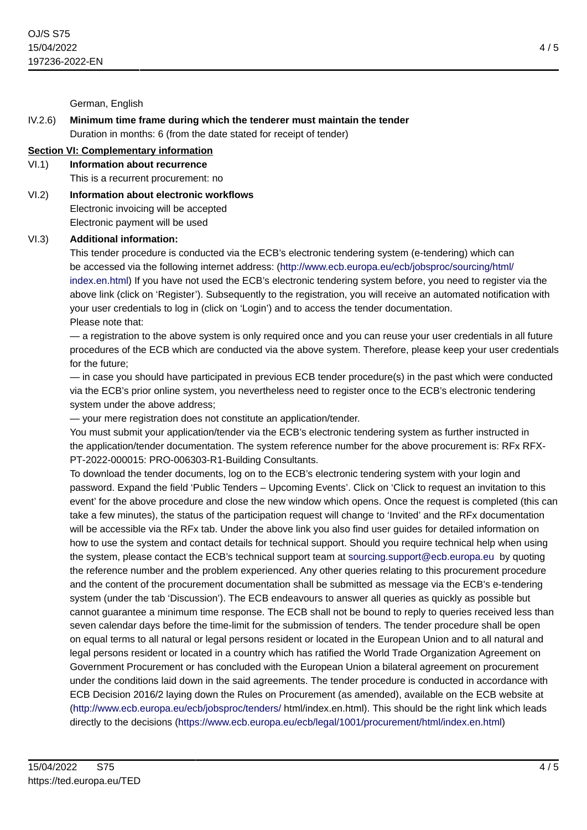German, English

# IV.2.6) **Minimum time frame during which the tenderer must maintain the tender** Duration in months: 6 (from the date stated for receipt of tender)

# **Section VI: Complementary information**

# VI.1) **Information about recurrence**

This is a recurrent procurement: no

VI.2) **Information about electronic workflows** Electronic invoicing will be accepted Electronic payment will be used

## VI.3) **Additional information:**

This tender procedure is conducted via the ECB's electronic tendering system (e-tendering) which can be accessed via the following internet address: [\(http://www.ecb.europa.eu/ecb/jobsproc/sourcing/html/](http://www.ecb.europa.eu/ecb/jobsproc/sourcing/html/index.en.html) [index.en.html](http://www.ecb.europa.eu/ecb/jobsproc/sourcing/html/index.en.html)) If you have not used the ECB's electronic tendering system before, you need to register via the above link (click on 'Register'). Subsequently to the registration, you will receive an automated notification with your user credentials to log in (click on 'Login') and to access the tender documentation. Please note that:

— a registration to the above system is only required once and you can reuse your user credentials in all future procedures of the ECB which are conducted via the above system. Therefore, please keep your user credentials for the future;

— in case you should have participated in previous ECB tender procedure(s) in the past which were conducted via the ECB's prior online system, you nevertheless need to register once to the ECB's electronic tendering system under the above address;

— your mere registration does not constitute an application/tender.

You must submit your application/tender via the ECB's electronic tendering system as further instructed in the application/tender documentation. The system reference number for the above procurement is: RFx RFX-PT-2022-000015: PRO-006303-R1-Building Consultants.

To download the tender documents, log on to the ECB's electronic tendering system with your login and password. Expand the field 'Public Tenders – Upcoming Events'. Click on 'Click to request an invitation to this event' for the above procedure and close the new window which opens. Once the request is completed (this can take a few minutes), the status of the participation request will change to 'Invited' and the RFx documentation will be accessible via the RFx tab. Under the above link you also find user guides for detailed information on how to use the system and contact details for technical support. Should you require technical help when using the system, please contact the ECB's technical support team at [sourcing.support@ecb.europa.eu](mailto:sourcing.support@ecb.europa.eu) by quoting the reference number and the problem experienced. Any other queries relating to this procurement procedure and the content of the procurement documentation shall be submitted as message via the ECB's e-tendering system (under the tab 'Discussion'). The ECB endeavours to answer all queries as quickly as possible but cannot guarantee a minimum time response. The ECB shall not be bound to reply to queries received less than seven calendar days before the time-limit for the submission of tenders. The tender procedure shall be open on equal terms to all natural or legal persons resident or located in the European Union and to all natural and legal persons resident or located in a country which has ratified the World Trade Organization Agreement on Government Procurement or has concluded with the European Union a bilateral agreement on procurement under the conditions laid down in the said agreements. The tender procedure is conducted in accordance with ECB Decision 2016/2 laying down the Rules on Procurement (as amended), available on the ECB website at [\(http://www.ecb.europa.eu/ecb/jobsproc/tenders/](http://www.ecb.europa.eu/ecb/jobsproc/tenders/) html/index.en.html). This should be the right link which leads directly to the decisions (<https://www.ecb.europa.eu/ecb/legal/1001/procurement/html/index.en.html>)